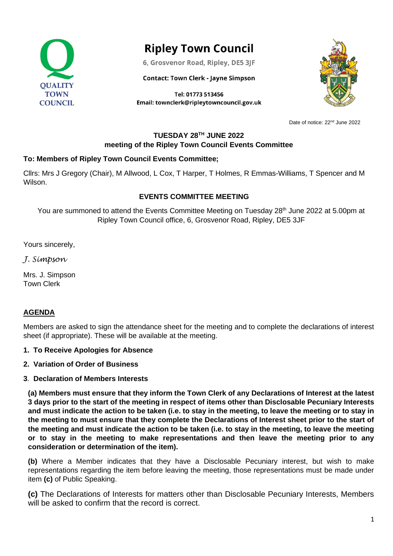

# **Ripley Town Council**

6, Grosvenor Road, Ripley, DE5 3JF

#### **Contact: Town Clerk - Jayne Simpson**

Tel: 01773 513456 Email: townclerk@ripleytowncouncil.gov.uk



Date of notice: 22<sup>nd</sup> June 2022

## **TUESDAY 28TH JUNE 2022 meeting of the Ripley Town Council Events Committee**

## **To: Members of Ripley Town Council Events Committee;**

Cllrs: Mrs J Gregory (Chair), M Allwood, L Cox, T Harper, T Holmes, R Emmas-Williams, T Spencer and M Wilson.

## **EVENTS COMMITTEE MEETING**

You are summoned to attend the Events Committee Meeting on Tuesday 28<sup>th</sup> June 2022 at 5.00pm at Ripley Town Council office, 6, Grosvenor Road, Ripley, DE5 3JF

Yours sincerely,

*J. Simpson*

Mrs. J. Simpson Town Clerk

#### **AGENDA**

Members are asked to sign the attendance sheet for the meeting and to complete the declarations of interest sheet (if appropriate). These will be available at the meeting.

#### **1. To Receive Apologies for Absence**

**2. Variation of Order of Business**

#### **3**. **Declaration of Members Interests**

**(a) Members must ensure that they inform the Town Clerk of any Declarations of Interest at the latest 3 days prior to the start of the meeting in respect of items other than Disclosable Pecuniary Interests and must indicate the action to be taken (i.e. to stay in the meeting, to leave the meeting or to stay in the meeting to must ensure that they complete the Declarations of Interest sheet prior to the start of the meeting and must indicate the action to be taken (i.e. to stay in the meeting, to leave the meeting or to stay in the meeting to make representations and then leave the meeting prior to any consideration or determination of the item).**

**(b)** Where a Member indicates that they have a Disclosable Pecuniary interest, but wish to make representations regarding the item before leaving the meeting, those representations must be made under item **(c)** of Public Speaking.

**(c)** The Declarations of Interests for matters other than Disclosable Pecuniary Interests, Members will be asked to confirm that the record is correct.